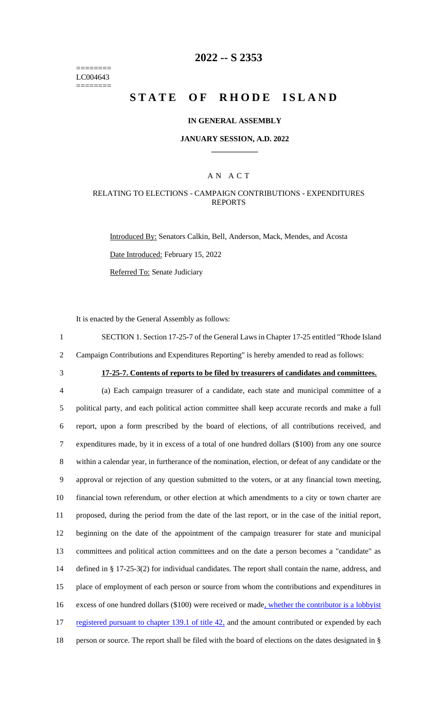======== LC004643 ========

### **2022 -- S 2353**

# **STATE OF RHODE ISLAND**

#### **IN GENERAL ASSEMBLY**

#### **JANUARY SESSION, A.D. 2022 \_\_\_\_\_\_\_\_\_\_\_\_**

#### A N A C T

#### RELATING TO ELECTIONS - CAMPAIGN CONTRIBUTIONS - EXPENDITURES REPORTS

Introduced By: Senators Calkin, Bell, Anderson, Mack, Mendes, and Acosta Date Introduced: February 15, 2022 Referred To: Senate Judiciary

It is enacted by the General Assembly as follows:

1 SECTION 1. Section 17-25-7 of the General Laws in Chapter 17-25 entitled "Rhode Island 2 Campaign Contributions and Expenditures Reporting" is hereby amended to read as follows:

### 3 **17-25-7. Contents of reports to be filed by treasurers of candidates and committees.**

 (a) Each campaign treasurer of a candidate, each state and municipal committee of a political party, and each political action committee shall keep accurate records and make a full report, upon a form prescribed by the board of elections, of all contributions received, and expenditures made, by it in excess of a total of one hundred dollars (\$100) from any one source within a calendar year, in furtherance of the nomination, election, or defeat of any candidate or the approval or rejection of any question submitted to the voters, or at any financial town meeting, financial town referendum, or other election at which amendments to a city or town charter are proposed, during the period from the date of the last report, or in the case of the initial report, beginning on the date of the appointment of the campaign treasurer for state and municipal committees and political action committees and on the date a person becomes a "candidate" as defined in § 17-25-3(2) for individual candidates. The report shall contain the name, address, and place of employment of each person or source from whom the contributions and expenditures in 16 excess of one hundred dollars (\$100) were received or made, whether the contributor is a lobbyist 17 registered pursuant to chapter 139.1 of title 42, and the amount contributed or expended by each person or source. The report shall be filed with the board of elections on the dates designated in §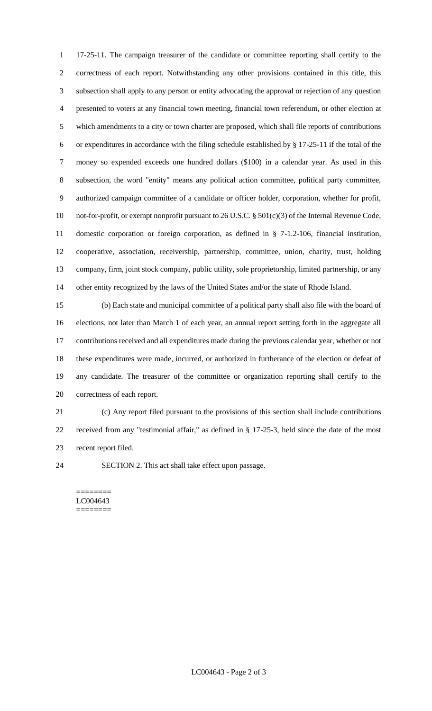17-25-11. The campaign treasurer of the candidate or committee reporting shall certify to the correctness of each report. Notwithstanding any other provisions contained in this title, this subsection shall apply to any person or entity advocating the approval or rejection of any question presented to voters at any financial town meeting, financial town referendum, or other election at which amendments to a city or town charter are proposed, which shall file reports of contributions or expenditures in accordance with the filing schedule established by § 17-25-11 if the total of the money so expended exceeds one hundred dollars (\$100) in a calendar year. As used in this subsection, the word "entity" means any political action committee, political party committee, authorized campaign committee of a candidate or officer holder, corporation, whether for profit, not-for-profit, or exempt nonprofit pursuant to 26 U.S.C. § 501(c)(3) of the Internal Revenue Code, domestic corporation or foreign corporation, as defined in § 7-1.2-106, financial institution, cooperative, association, receivership, partnership, committee, union, charity, trust, holding company, firm, joint stock company, public utility, sole proprietorship, limited partnership, or any other entity recognized by the laws of the United States and/or the state of Rhode Island.

 (b) Each state and municipal committee of a political party shall also file with the board of elections, not later than March 1 of each year, an annual report setting forth in the aggregate all contributions received and all expenditures made during the previous calendar year, whether or not these expenditures were made, incurred, or authorized in furtherance of the election or defeat of any candidate. The treasurer of the committee or organization reporting shall certify to the correctness of each report.

 (c) Any report filed pursuant to the provisions of this section shall include contributions received from any "testimonial affair," as defined in § 17-25-3, held since the date of the most recent report filed.

SECTION 2. This act shall take effect upon passage.

======== LC004643 ========